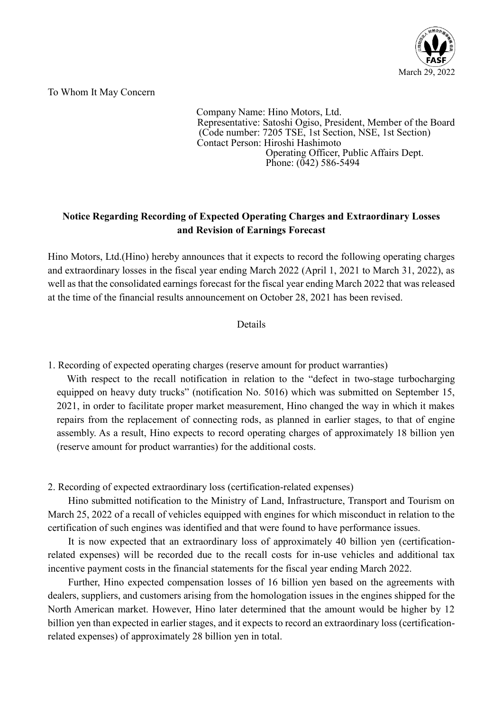

To Whom It May Concern

 Company Name: Hino Motors, Ltd. Representative: Satoshi Ogiso, President, Member of the Board (Code number: 7205 TSE, 1st Section, NSE, 1st Section) Contact Person: Hiroshi Hashimoto Operating Officer, Public Affairs Dept. Phone: (042) 586-5494

## **Notice Regarding Recording of Expected Operating Charges and Extraordinary Losses and Revision of Earnings Forecast**

Hino Motors, Ltd.(Hino) hereby announces that it expects to record the following operating charges and extraordinary losses in the fiscal year ending March 2022 (April 1, 2021 to March 31, 2022), as well as that the consolidated earnings forecast for the fiscal year ending March 2022 that was released at the time of the financial results announcement on October 28, 2021 has been revised.

## Details

1. Recording of expected operating charges (reserve amount for product warranties)

With respect to the recall notification in relation to the "defect in two-stage turbocharging equipped on heavy duty trucks" (notification No. 5016) which was submitted on September 15, 2021, in order to facilitate proper market measurement, Hino changed the way in which it makes repairs from the replacement of connecting rods, as planned in earlier stages, to that of engine assembly. As a result, Hino expects to record operating charges of approximately 18 billion yen (reserve amount for product warranties) for the additional costs.

2. Recording of expected extraordinary loss (certification-related expenses)

Hino submitted notification to the Ministry of Land, Infrastructure, Transport and Tourism on March 25, 2022 of a recall of vehicles equipped with engines for which misconduct in relation to the certification of such engines was identified and that were found to have performance issues.

It is now expected that an extraordinary loss of approximately 40 billion yen (certificationrelated expenses) will be recorded due to the recall costs for in-use vehicles and additional tax incentive payment costs in the financial statements for the fiscal year ending March 2022.

Further, Hino expected compensation losses of 16 billion yen based on the agreements with dealers, suppliers, and customers arising from the homologation issues in the engines shipped for the North American market. However, Hino later determined that the amount would be higher by 12 billion yen than expected in earlier stages, and it expects to record an extraordinary loss (certificationrelated expenses) of approximately 28 billion yen in total.